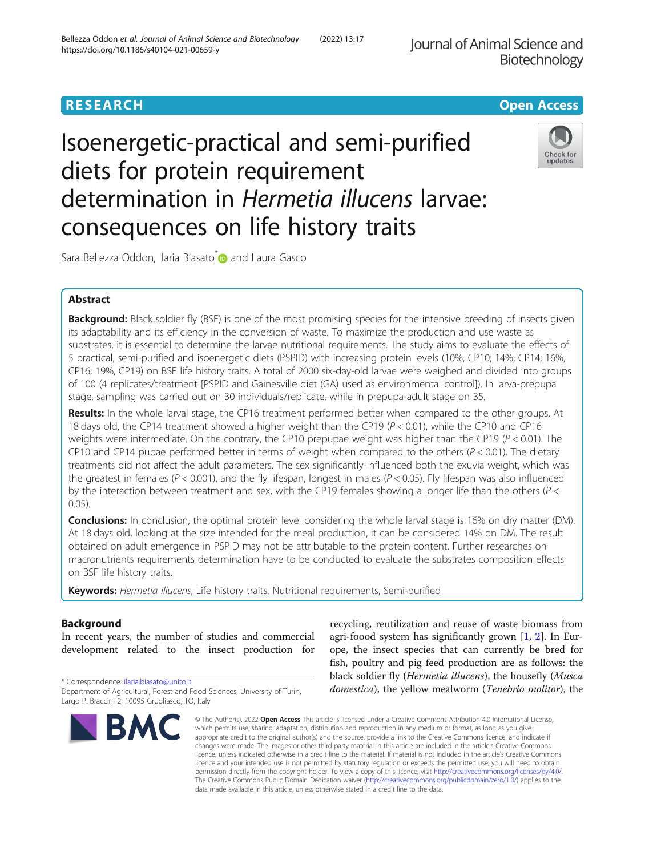Journal of Animal Science and Biotechnology

# **RESEARCH CHE Open Access**

# Isoenergetic-practical and semi-purified diets for protein requirement determination in Hermetia illucens larvae: consequences on life history traits



Sara Bellezza Oddon, Ilaria Biasato<sup>[\\*](http://orcid.org/0000-0002-8855-4248)</sup> and Laura Gasco

# Abstract

Background: Black soldier fly (BSF) is one of the most promising species for the intensive breeding of insects given its adaptability and its efficiency in the conversion of waste. To maximize the production and use waste as substrates, it is essential to determine the larvae nutritional requirements. The study aims to evaluate the effects of 5 practical, semi-purified and isoenergetic diets (PSPID) with increasing protein levels (10%, CP10; 14%, CP14; 16%, CP16; 19%, CP19) on BSF life history traits. A total of 2000 six-day-old larvae were weighed and divided into groups of 100 (4 replicates/treatment [PSPID and Gainesville diet (GA) used as environmental control]). In larva-prepupa stage, sampling was carried out on 30 individuals/replicate, while in prepupa-adult stage on 35.

Results: In the whole larval stage, the CP16 treatment performed better when compared to the other groups. At 18 days old, the CP14 treatment showed a higher weight than the CP19 (P < 0.01), while the CP10 and CP16 weights were intermediate. On the contrary, the CP10 prepupae weight was higher than the CP19 ( $P < 0.01$ ). The CP10 and CP14 pupae performed better in terms of weight when compared to the others  $(P < 0.01)$ . The dietary treatments did not affect the adult parameters. The sex significantly influenced both the exuvia weight, which was the greatest in females ( $P < 0.001$ ), and the fly lifespan, longest in males ( $P < 0.05$ ). Fly lifespan was also influenced by the interaction between treatment and sex, with the CP19 females showing a longer life than the others (P < 0.05).

**Conclusions:** In conclusion, the optimal protein level considering the whole larval stage is 16% on dry matter (DM). At 18 days old, looking at the size intended for the meal production, it can be considered 14% on DM. The result obtained on adult emergence in PSPID may not be attributable to the protein content. Further researches on macronutrients requirements determination have to be conducted to evaluate the substrates composition effects on BSF life history traits.

Keywords: Hermetia illucens, Life history traits, Nutritional requirements, Semi-purified

# Background

In recent years, the number of studies and commercial development related to the insect production for

\* Correspondence: [ilaria.biasato@unito.it](mailto:ilaria.biasato@unito.it) Department of Agricultural, Forest and Food Sciences, University of Turin, Largo P. Braccini 2, 10095 Grugliasco, TO, Italy



recycling, reutilization and reuse of waste biomass from agri-foood system has significantly grown [[1,](#page-8-0) [2](#page-8-0)]. In Europe, the insect species that can currently be bred for fish, poultry and pig feed production are as follows: the black soldier fly (Hermetia illucens), the housefly (Musca domestica), the yellow mealworm (Tenebrio molitor), the

© The Author(s), 2022 **Open Access** This article is licensed under a Creative Commons Attribution 4.0 International License, which permits use, sharing, adaptation, distribution and reproduction in any medium or format, as long as you give appropriate credit to the original author(s) and the source, provide a link to the Creative Commons licence, and indicate if changes were made. The images or other third party material in this article are included in the article's Creative Commons licence, unless indicated otherwise in a credit line to the material. If material is not included in the article's Creative Commons licence and your intended use is not permitted by statutory regulation or exceeds the permitted use, you will need to obtain permission directly from the copyright holder. To view a copy of this licence, visit [http://creativecommons.org/licenses/by/4.0/.](http://creativecommons.org/licenses/by/4.0/) The Creative Commons Public Domain Dedication waiver [\(http://creativecommons.org/publicdomain/zero/1.0/](http://creativecommons.org/publicdomain/zero/1.0/)) applies to the data made available in this article, unless otherwise stated in a credit line to the data.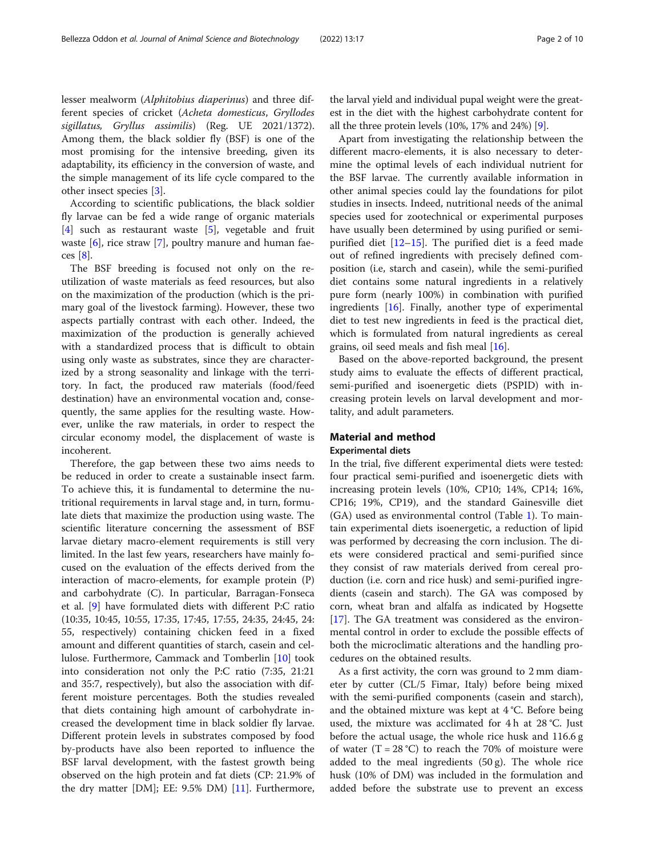lesser mealworm (Alphitobius diaperinus) and three different species of cricket (Acheta domesticus, Gryllodes sigillatus, Gryllus assimilis) (Reg. UE 2021/1372). Among them, the black soldier fly (BSF) is one of the most promising for the intensive breeding, given its adaptability, its efficiency in the conversion of waste, and the simple management of its life cycle compared to the other insect species [[3\]](#page-8-0).

According to scientific publications, the black soldier fly larvae can be fed a wide range of organic materials [[4\]](#page-8-0) such as restaurant waste [\[5](#page-8-0)], vegetable and fruit waste [[6](#page-8-0)], rice straw [\[7](#page-8-0)], poultry manure and human faeces [\[8](#page-8-0)].

The BSF breeding is focused not only on the reutilization of waste materials as feed resources, but also on the maximization of the production (which is the primary goal of the livestock farming). However, these two aspects partially contrast with each other. Indeed, the maximization of the production is generally achieved with a standardized process that is difficult to obtain using only waste as substrates, since they are characterized by a strong seasonality and linkage with the territory. In fact, the produced raw materials (food/feed destination) have an environmental vocation and, consequently, the same applies for the resulting waste. However, unlike the raw materials, in order to respect the circular economy model, the displacement of waste is incoherent.

Therefore, the gap between these two aims needs to be reduced in order to create a sustainable insect farm. To achieve this, it is fundamental to determine the nutritional requirements in larval stage and, in turn, formulate diets that maximize the production using waste. The scientific literature concerning the assessment of BSF larvae dietary macro-element requirements is still very limited. In the last few years, researchers have mainly focused on the evaluation of the effects derived from the interaction of macro-elements, for example protein (P) and carbohydrate (C). In particular, Barragan-Fonseca et al. [[9\]](#page-8-0) have formulated diets with different P:C ratio (10:35, 10:45, 10:55, 17:35, 17:45, 17:55, 24:35, 24:45, 24: 55, respectively) containing chicken feed in a fixed amount and different quantities of starch, casein and cellulose. Furthermore, Cammack and Tomberlin [[10\]](#page-8-0) took into consideration not only the P:C ratio (7:35, 21:21 and 35:7, respectively), but also the association with different moisture percentages. Both the studies revealed that diets containing high amount of carbohydrate increased the development time in black soldier fly larvae. Different protein levels in substrates composed by food by-products have also been reported to influence the BSF larval development, with the fastest growth being observed on the high protein and fat diets (CP: 21.9% of the dry matter [DM]; EE: 9.5% DM) [\[11](#page-8-0)]. Furthermore,

the larval yield and individual pupal weight were the greatest in the diet with the highest carbohydrate content for all the three protein levels (10%, 17% and 24%) [[9\]](#page-8-0).

Apart from investigating the relationship between the different macro-elements, it is also necessary to determine the optimal levels of each individual nutrient for the BSF larvae. The currently available information in other animal species could lay the foundations for pilot studies in insects. Indeed, nutritional needs of the animal species used for zootechnical or experimental purposes have usually been determined by using purified or semipurified diet [[12](#page-8-0)–[15](#page-8-0)]. The purified diet is a feed made out of refined ingredients with precisely defined composition (i.e, starch and casein), while the semi-purified diet contains some natural ingredients in a relatively pure form (nearly 100%) in combination with purified ingredients  $[16]$  $[16]$ . Finally, another type of experimental diet to test new ingredients in feed is the practical diet, which is formulated from natural ingredients as cereal grains, oil seed meals and fish meal [[16](#page-8-0)].

Based on the above-reported background, the present study aims to evaluate the effects of different practical, semi-purified and isoenergetic diets (PSPID) with increasing protein levels on larval development and mortality, and adult parameters.

#### Material and method Experimental diets

In the trial, five different experimental diets were tested: four practical semi-purified and isoenergetic diets with increasing protein levels (10%, CP10; 14%, CP14; 16%, CP16; 19%, CP19), and the standard Gainesville diet (GA) used as environmental control (Table [1](#page-2-0)). To maintain experimental diets isoenergetic, a reduction of lipid was performed by decreasing the corn inclusion. The diets were considered practical and semi-purified since they consist of raw materials derived from cereal production (i.e. corn and rice husk) and semi-purified ingredients (casein and starch). The GA was composed by corn, wheat bran and alfalfa as indicated by Hogsette [[17\]](#page-8-0). The GA treatment was considered as the environmental control in order to exclude the possible effects of both the microclimatic alterations and the handling procedures on the obtained results.

As a first activity, the corn was ground to 2 mm diameter by cutter (CL/5 Fimar, Italy) before being mixed with the semi-purified components (casein and starch), and the obtained mixture was kept at 4 °C. Before being used, the mixture was acclimated for 4 h at 28 °C. Just before the actual usage, the whole rice husk and 116.6 g of water  $(T = 28 \degree C)$  to reach the 70% of moisture were added to the meal ingredients (50 g). The whole rice husk (10% of DM) was included in the formulation and added before the substrate use to prevent an excess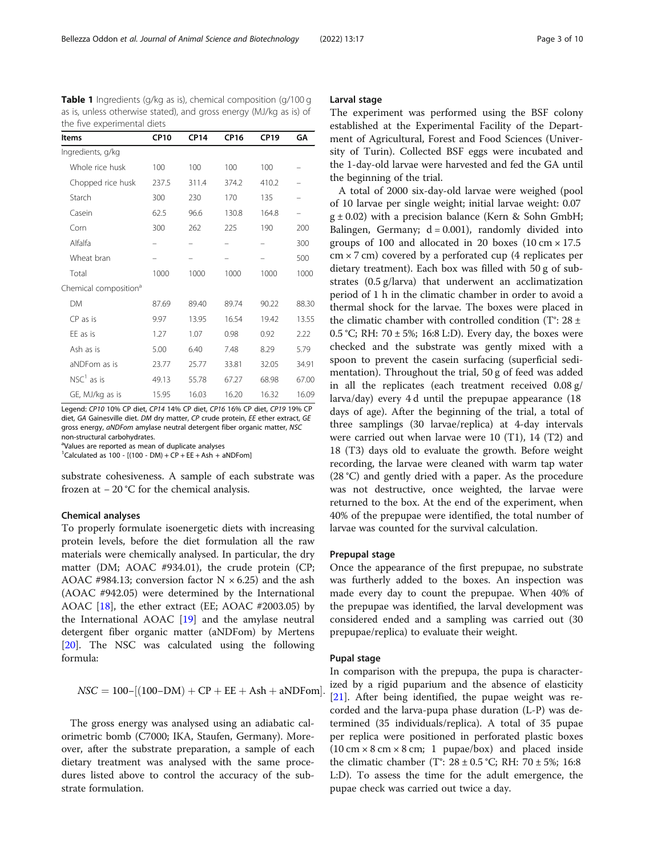| <b>Items</b>                      | <b>CP10</b> | <b>CP14</b> | <b>CP16</b> | <b>CP19</b> | GΑ                       |
|-----------------------------------|-------------|-------------|-------------|-------------|--------------------------|
| Ingredients, g/kg                 |             |             |             |             |                          |
| Whole rice husk                   | 100         | 100         | 100         | 100         |                          |
| Chopped rice husk                 | 237.5       | 311.4       | 374.2       | 410.2       |                          |
| Starch                            | 300         | 230         | 170         | 135         | -                        |
| Casein                            | 62.5        | 96.6        | 130.8       | 164.8       | $\overline{\phantom{0}}$ |
| Corn                              | 300         | 262         | 225         | 190         | 200                      |
| Alfalfa                           |             |             |             |             | 300                      |
| Wheat bran                        |             |             |             |             | 500                      |
| Total                             | 1000        | 1000        | 1000        | 1000        | 1000                     |
| Chemical composition <sup>a</sup> |             |             |             |             |                          |
| <b>DM</b>                         | 87.69       | 89.40       | 89.74       | 90.22       | 88.30                    |
| $CP$ as is                        | 9.97        | 13.95       | 16.54       | 19.42       | 13.55                    |
| EE as is                          | 1.27        | 1.07        | 0.98        | 0.92        | 2.22                     |
| Ash as is                         | 5.00        | 6.40        | 7.48        | 8.29        | 5.79                     |
| aNDFom as is                      | 23.77       | 25.77       | 33.81       | 32.05       | 34.91                    |
| $NSC1$ as is                      | 49.13       | 55.78       | 67.27       | 68.98       | 67.00                    |
| GE, MJ/kg as is                   | 15.95       | 16.03       | 16.20       | 16.32       | 16.09                    |

<span id="page-2-0"></span>Table 1 Ingredients (g/kg as is), chemical composition (g/100 g as is, unless otherwise stated), and gross energy (MJ/kg as is) of the five experimental diets

Legend: CP10 10% CP diet, CP14 14% CP diet, CP16 16% CP diet, CP19 19% CP diet, GA Gainesville diet. DM dry matter, CP crude protein, EE ether extract, GE gross energy, aNDFom amylase neutral detergent fiber organic matter, NSC non-structural carbohydrates.

<sup>a</sup>Values are reported as mean of duplicate analyses

 ${}^{1}$ Calculated as 100 - [(100 - DM) + CP + EE + Ash + aNDFom]

substrate cohesiveness. A sample of each substrate was frozen at − 20 °C for the chemical analysis.

#### Chemical analyses

To properly formulate isoenergetic diets with increasing protein levels, before the diet formulation all the raw materials were chemically analysed. In particular, the dry matter (DM; AOAC #934.01), the crude protein (CP; AOAC #984.13; conversion factor  $N \times 6.25$ ) and the ash (AOAC #942.05) were determined by the International AOAC [\[18\]](#page-8-0), the ether extract (EE; AOAC #2003.05) by the International AOAC [[19\]](#page-8-0) and the amylase neutral detergent fiber organic matter (aNDFom) by Mertens [[20\]](#page-8-0). The NSC was calculated using the following formula:

 $NSC = 100 - [(100 - DM) + CP + EE + Ash + aNDFom].$ 

The gross energy was analysed using an adiabatic calorimetric bomb (C7000; IKA, Staufen, Germany). Moreover, after the substrate preparation, a sample of each dietary treatment was analysed with the same procedures listed above to control the accuracy of the substrate formulation.

#### Larval stage

The experiment was performed using the BSF colony established at the Experimental Facility of the Department of Agricultural, Forest and Food Sciences (University of Turin). Collected BSF eggs were incubated and the 1-day-old larvae were harvested and fed the GA until the beginning of the trial.

A total of 2000 six-day-old larvae were weighed (pool of 10 larvae per single weight; initial larvae weight: 0.07  $g \pm 0.02$ ) with a precision balance (Kern & Sohn GmbH; Balingen, Germany;  $d = 0.001$ ), randomly divided into groups of 100 and allocated in 20 boxes  $(10 \text{ cm} \times 17.5$  $cm \times 7$  cm) covered by a perforated cup (4 replicates per dietary treatment). Each box was filled with 50 g of substrates (0.5 g/larva) that underwent an acclimatization period of 1 h in the climatic chamber in order to avoid a thermal shock for the larvae. The boxes were placed in the climatic chamber with controlled condition (T°: 28 ± 0.5 °C; RH:  $70 \pm 5\%$ ; 16:8 L:D). Every day, the boxes were checked and the substrate was gently mixed with a spoon to prevent the casein surfacing (superficial sedimentation). Throughout the trial, 50 g of feed was added in all the replicates (each treatment received 0.08 g/ larva/day) every 4 d until the prepupae appearance (18 days of age). After the beginning of the trial, a total of three samplings (30 larvae/replica) at 4-day intervals were carried out when larvae were 10 (T1), 14 (T2) and 18 (T3) days old to evaluate the growth. Before weight recording, the larvae were cleaned with warm tap water (28 °C) and gently dried with a paper. As the procedure was not destructive, once weighted, the larvae were returned to the box. At the end of the experiment, when 40% of the prepupae were identified, the total number of larvae was counted for the survival calculation.

#### Prepupal stage

Once the appearance of the first prepupae, no substrate was furtherly added to the boxes. An inspection was made every day to count the prepupae. When 40% of the prepupae was identified, the larval development was considered ended and a sampling was carried out (30 prepupae/replica) to evaluate their weight.

#### Pupal stage

In comparison with the prepupa, the pupa is characterized by a rigid puparium and the absence of elasticity [[21\]](#page-8-0). After being identified, the pupae weight was recorded and the larva-pupa phase duration (L-P) was determined (35 individuals/replica). A total of 35 pupae per replica were positioned in perforated plastic boxes  $(10 \text{ cm} \times 8 \text{ cm} \times 8 \text{ cm}; 1 \text{ pupae/box})$  and placed inside the climatic chamber (T°:  $28 \pm 0.5$  °C; RH:  $70 \pm 5$ %; 16:8 L:D). To assess the time for the adult emergence, the pupae check was carried out twice a day.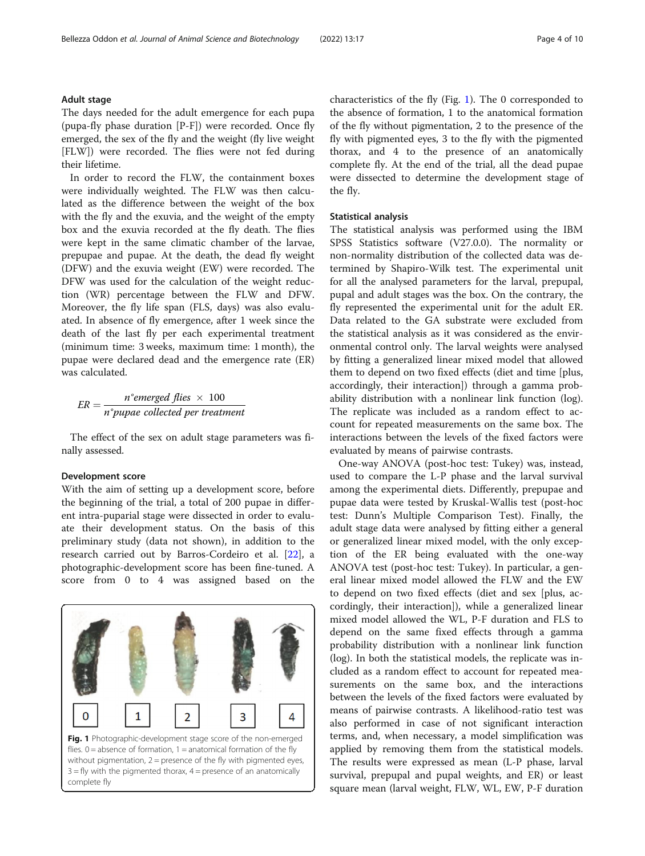The days needed for the adult emergence for each pupa (pupa-fly phase duration [P-F]) were recorded. Once fly emerged, the sex of the fly and the weight (fly live weight [FLW]) were recorded. The flies were not fed during their lifetime.

In order to record the FLW, the containment boxes were individually weighted. The FLW was then calculated as the difference between the weight of the box with the fly and the exuvia, and the weight of the empty box and the exuvia recorded at the fly death. The flies were kept in the same climatic chamber of the larvae, prepupae and pupae. At the death, the dead fly weight (DFW) and the exuvia weight (EW) were recorded. The DFW was used for the calculation of the weight reduction (WR) percentage between the FLW and DFW. Moreover, the fly life span (FLS, days) was also evaluated. In absence of fly emergence, after 1 week since the death of the last fly per each experimental treatment (minimum time: 3 weeks, maximum time: 1 month), the pupae were declared dead and the emergence rate (ER) was calculated.

$$
ER = \frac{n^{\circ}emerged \text{ flies } \times 100}{n^{\circ}pupae \text{ collected per treatment}}
$$

The effect of the sex on adult stage parameters was finally assessed.

#### Development score

With the aim of setting up a development score, before the beginning of the trial, a total of 200 pupae in different intra-puparial stage were dissected in order to evaluate their development status. On the basis of this preliminary study (data not shown), in addition to the research carried out by Barros-Cordeiro et al. [[22\]](#page-9-0), a photographic-development score has been fine-tuned. A score from 0 to 4 was assigned based on the

1 3  $\Omega$ 2 4 Fig. 1 Photographic-development stage score of the non-emerged flies.  $0 =$  absence of formation,  $1 =$  anatomical formation of the fly without pigmentation,  $2 =$  presence of the fly with pigmented eyes,  $3 = fly$  with the pigmented thorax,  $4 =$  presence of an anatomically complete fly

characteristics of the fly (Fig. 1). The 0 corresponded to the absence of formation, 1 to the anatomical formation of the fly without pigmentation, 2 to the presence of the fly with pigmented eyes, 3 to the fly with the pigmented thorax, and 4 to the presence of an anatomically complete fly. At the end of the trial, all the dead pupae were dissected to determine the development stage of the fly.

#### Statistical analysis

The statistical analysis was performed using the IBM SPSS Statistics software (V27.0.0). The normality or non-normality distribution of the collected data was determined by Shapiro-Wilk test. The experimental unit for all the analysed parameters for the larval, prepupal, pupal and adult stages was the box. On the contrary, the fly represented the experimental unit for the adult ER. Data related to the GA substrate were excluded from the statistical analysis as it was considered as the environmental control only. The larval weights were analysed by fitting a generalized linear mixed model that allowed them to depend on two fixed effects (diet and time [plus, accordingly, their interaction]) through a gamma probability distribution with a nonlinear link function (log). The replicate was included as a random effect to account for repeated measurements on the same box. The interactions between the levels of the fixed factors were evaluated by means of pairwise contrasts.

One-way ANOVA (post-hoc test: Tukey) was, instead, used to compare the L-P phase and the larval survival among the experimental diets. Differently, prepupae and pupae data were tested by Kruskal-Wallis test (post-hoc test: Dunn's Multiple Comparison Test). Finally, the adult stage data were analysed by fitting either a general or generalized linear mixed model, with the only exception of the ER being evaluated with the one-way ANOVA test (post-hoc test: Tukey). In particular, a general linear mixed model allowed the FLW and the EW to depend on two fixed effects (diet and sex [plus, accordingly, their interaction]), while a generalized linear mixed model allowed the WL, P-F duration and FLS to depend on the same fixed effects through a gamma probability distribution with a nonlinear link function (log). In both the statistical models, the replicate was included as a random effect to account for repeated measurements on the same box, and the interactions between the levels of the fixed factors were evaluated by means of pairwise contrasts. A likelihood-ratio test was also performed in case of not significant interaction terms, and, when necessary, a model simplification was applied by removing them from the statistical models. The results were expressed as mean (L-P phase, larval survival, prepupal and pupal weights, and ER) or least square mean (larval weight, FLW, WL, EW, P-F duration

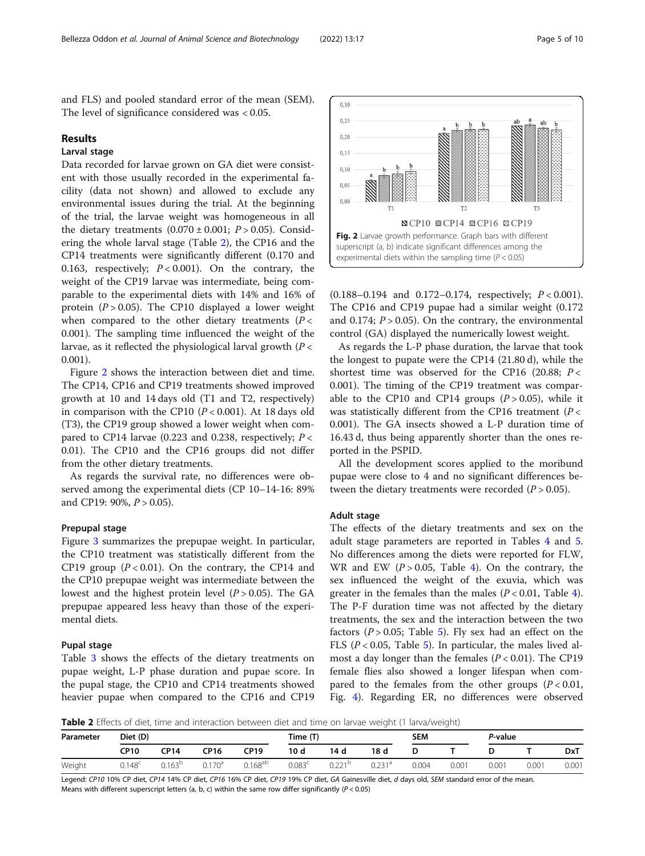and FLS) and pooled standard error of the mean (SEM). The level of significance considered was < 0.05.

#### Results

## Larval stage

Data recorded for larvae grown on GA diet were consistent with those usually recorded in the experimental facility (data not shown) and allowed to exclude any environmental issues during the trial. At the beginning of the trial, the larvae weight was homogeneous in all the dietary treatments  $(0.070 \pm 0.001; P > 0.05)$ . Considering the whole larval stage (Table 2), the CP16 and the CP14 treatments were significantly different (0.170 and 0.163, respectively;  $P < 0.001$ ). On the contrary, the weight of the CP19 larvae was intermediate, being comparable to the experimental diets with 14% and 16% of protein  $(P > 0.05)$ . The CP10 displayed a lower weight when compared to the other dietary treatments ( $P <$ 0.001). The sampling time influenced the weight of the larvae, as it reflected the physiological larval growth  $(P <$ 0.001).

Figure 2 shows the interaction between diet and time. The CP14, CP16 and CP19 treatments showed improved growth at 10 and 14 days old (T1 and T2, respectively) in comparison with the CP10  $(P < 0.001)$ . At 18 days old (T3), the CP19 group showed a lower weight when compared to CP14 larvae (0.223 and 0.238, respectively;  $P <$ 0.01). The CP10 and the CP16 groups did not differ from the other dietary treatments.

As regards the survival rate, no differences were observed among the experimental diets (CP 10–14-16: 89% and CP19: 90%,  $P > 0.05$ ).

#### Prepupal stage

Figure [3](#page-5-0) summarizes the prepupae weight. In particular, the CP10 treatment was statistically different from the CP19 group  $(P < 0.01)$ . On the contrary, the CP14 and the CP10 prepupae weight was intermediate between the lowest and the highest protein level  $(P > 0.05)$ . The GA prepupae appeared less heavy than those of the experimental diets.

#### Pupal stage

Table [3](#page-5-0) shows the effects of the dietary treatments on pupae weight, L-P phase duration and pupae score. In the pupal stage, the CP10 and CP14 treatments showed heavier pupae when compared to the CP16 and CP19

(0.188–0.194 and 0.172–0.174, respectively; P < 0.001). The CP16 and CP19 pupae had a similar weight (0.172 and 0.174;  $P > 0.05$ ). On the contrary, the environmental control (GA) displayed the numerically lowest weight.

As regards the L-P phase duration, the larvae that took the longest to pupate were the CP14 (21.80 d), while the shortest time was observed for the CP16 (20.88;  $P <$ 0.001). The timing of the CP19 treatment was comparable to the CP10 and CP14 groups  $(P > 0.05)$ , while it was statistically different from the CP16 treatment ( $P <$ 0.001). The GA insects showed a L-P duration time of 16.43 d, thus being apparently shorter than the ones reported in the PSPID.

All the development scores applied to the moribund pupae were close to 4 and no significant differences between the dietary treatments were recorded  $(P > 0.05)$ .

#### Adult stage

The effects of the dietary treatments and sex on the adult stage parameters are reported in Tables [4](#page-6-0) and [5](#page-6-0). No differences among the diets were reported for FLW, WR and EW  $(P > 0.05,$  Table [4](#page-6-0)). On the contrary, the sex influenced the weight of the exuvia, which was greater in the females than the males  $(P < 0.01$ , Table [4](#page-6-0)). The P-F duration time was not affected by the dietary treatments, the sex and the interaction between the two factors ( $P > 0.05$  $P > 0.05$ ; Table 5). Fly sex had an effect on the FLS ( $P < 0.05$ , Table [5\)](#page-6-0). In particular, the males lived almost a day longer than the females  $(P < 0.01)$ . The CP19 female flies also showed a longer lifespan when compared to the females from the other groups ( $P < 0.01$ , Fig. [4](#page-7-0)). Regarding ER, no differences were observed

**Table 2** Effects of diet, time and interaction between diet and time on larvae weight (1 larva/weight)

| Diet (D)<br>Parameter |                 |             |                    |              | Time (T)        |                    | $\sim$ | $\sim$<br>SEM |       | P-value |       |            |
|-----------------------|-----------------|-------------|--------------------|--------------|-----------------|--------------------|--------|---------------|-------|---------|-------|------------|
|                       | <b>CP10</b>     | CP14        | CP16               | CP19         | 10d             | 14 d               | 18 d   |               |       |         |       | <b>DxT</b> |
| Weight                | $0.148^{\circ}$ | $0.163^{b}$ | 0.170 <sup>a</sup> | $0.168^{ab}$ | $0.083^{\circ}$ | ∩ วว1 <sup>D</sup> | 0.231ª | 0.004         | 0.001 | 0.001   | 0.001 | 0.001      |

Legend: CP10 10% CP diet, CP14 14% CP diet, CP16 16% CP diet, CP19 19% CP diet, GA Gainesville diet, d days old, SEM standard error of the mean. Means with different superscript letters (a, b, c) within the same row differ significantly (P < 0.05)

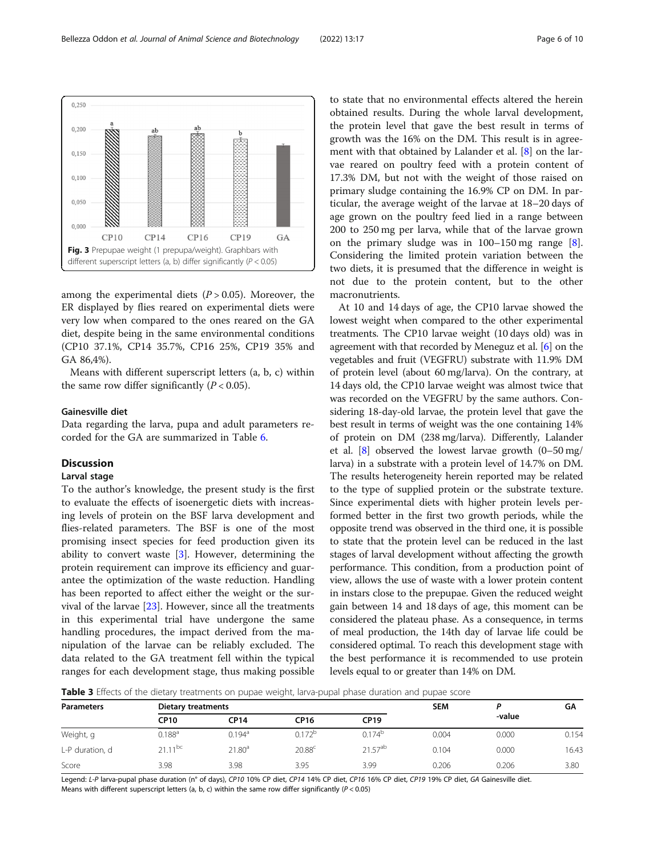<span id="page-5-0"></span>

among the experimental diets  $(P > 0.05)$ . Moreover, the ER displayed by flies reared on experimental diets were very low when compared to the ones reared on the GA diet, despite being in the same environmental conditions (CP10 37.1%, CP14 35.7%, CP16 25%, CP19 35% and GA 86,4%).

Means with different superscript letters (a, b, c) within the same row differ significantly  $(P < 0.05)$ .

#### Gainesville diet

Data regarding the larva, pupa and adult parameters recorded for the GA are summarized in Table [6](#page-7-0).

#### Discussion

#### Larval stage

To the author's knowledge, the present study is the first to evaluate the effects of isoenergetic diets with increasing levels of protein on the BSF larva development and flies-related parameters. The BSF is one of the most promising insect species for feed production given its ability to convert waste [[3\]](#page-8-0). However, determining the protein requirement can improve its efficiency and guarantee the optimization of the waste reduction. Handling has been reported to affect either the weight or the survival of the larvae [\[23\]](#page-9-0). However, since all the treatments in this experimental trial have undergone the same handling procedures, the impact derived from the manipulation of the larvae can be reliably excluded. The data related to the GA treatment fell within the typical ranges for each development stage, thus making possible to state that no environmental effects altered the herein obtained results. During the whole larval development, the protein level that gave the best result in terms of growth was the 16% on the DM. This result is in agreement with that obtained by Lalander et al. [[8\]](#page-8-0) on the larvae reared on poultry feed with a protein content of 17.3% DM, but not with the weight of those raised on primary sludge containing the 16.9% CP on DM. In particular, the average weight of the larvae at 18–20 days of age grown on the poultry feed lied in a range between 200 to 250 mg per larva, while that of the larvae grown on the primary sludge was in 100–150 mg range [\[8](#page-8-0)]. Considering the limited protein variation between the two diets, it is presumed that the difference in weight is not due to the protein content, but to the other macronutrients.

At 10 and 14 days of age, the CP10 larvae showed the lowest weight when compared to the other experimental treatments. The CP10 larvae weight (10 days old) was in agreement with that recorded by Meneguz et al. [\[6](#page-8-0)] on the vegetables and fruit (VEGFRU) substrate with 11.9% DM of protein level (about 60 mg/larva). On the contrary, at 14 days old, the CP10 larvae weight was almost twice that was recorded on the VEGFRU by the same authors. Considering 18-day-old larvae, the protein level that gave the best result in terms of weight was the one containing 14% of protein on DM (238 mg/larva). Differently, Lalander et al.  $[8]$  observed the lowest larvae growth  $(0-50 \text{ mg})$ larva) in a substrate with a protein level of 14.7% on DM. The results heterogeneity herein reported may be related to the type of supplied protein or the substrate texture. Since experimental diets with higher protein levels performed better in the first two growth periods, while the opposite trend was observed in the third one, it is possible to state that the protein level can be reduced in the last stages of larval development without affecting the growth performance. This condition, from a production point of view, allows the use of waste with a lower protein content in instars close to the prepupae. Given the reduced weight gain between 14 and 18 days of age, this moment can be considered the plateau phase. As a consequence, in terms of meal production, the 14th day of larvae life could be considered optimal. To reach this development stage with the best performance it is recommended to use protein levels equal to or greater than 14% on DM.

Table 3 Effects of the dietary treatments on pupae weight, larva-pupal phase duration and pupae score

| <b>Parameters</b> | Dietary treatments |                      | <b>SEM</b>         |              | GΑ    |        |       |
|-------------------|--------------------|----------------------|--------------------|--------------|-------|--------|-------|
|                   | <b>CP10</b>        | <b>CP14</b>          | <b>CP16</b>        | <b>CP19</b>  |       | -value |       |
| Weight, g         | $0.188^{\text{a}}$ | $0.194$ <sup>a</sup> | $0.172^{c}$        | $0.174^{D}$  | 0.004 | 0.000  | 0.154 |
| L-P duration, d   | $21.11^{bc}$       | 21.80 <sup>a</sup>   | 20.88 <sup>c</sup> | $21.57^{ab}$ | 0.104 | 0.000  | 16.43 |
| Score             | 3.98               | 3.98                 | 3.95               | 3.99         | 0.206 | 0.206  | 3.80  |

Legend: L-P larva-pupal phase duration (n° of days), CP10 10% CP diet, CP14 14% CP diet, CP16 16% CP diet, CP19 19% CP diet, GA Gainesville diet. Means with different superscript letters (a, b, c) within the same row differ significantly ( $P < 0.05$ )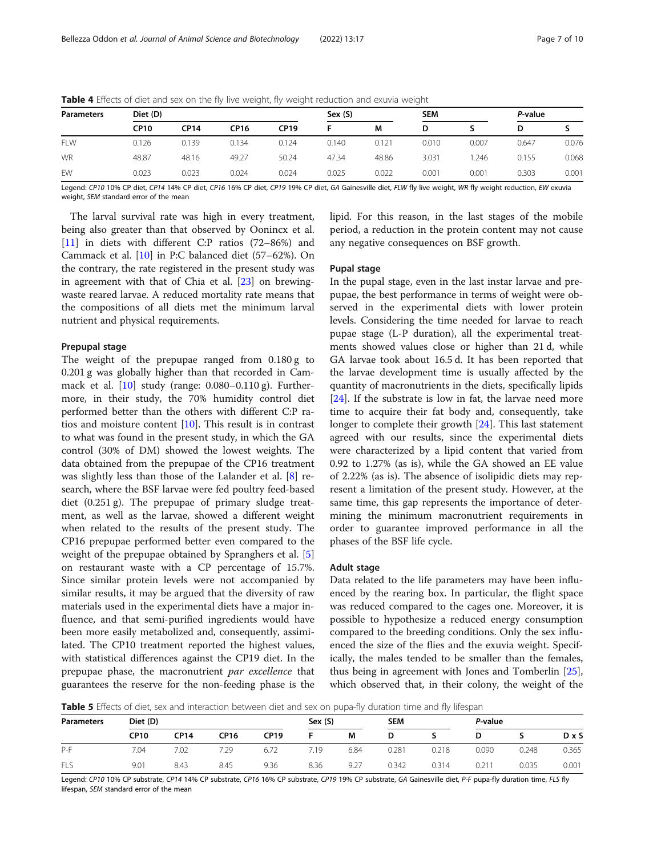| <b>Parameters</b> | Diet (D)    |             |       |             | Sex (S) |       |       | <b>SEM</b> |       | P-value |  |
|-------------------|-------------|-------------|-------|-------------|---------|-------|-------|------------|-------|---------|--|
|                   | <b>CP10</b> | <b>CP14</b> | CP16  | <b>CP19</b> |         | M     | D     |            | D     |         |  |
| <b>FLW</b>        | 0.126       | 0.139       | 0.134 | 0.124       | 0.140   | 0.121 | 0.010 | 0.007      | 0.647 | 0.076   |  |
| <b>WR</b>         | 48.87       | 48.16       | 49.27 | 50.24       | 47.34   | 48.86 | 3.031 | .246       | 0.155 | 0.068   |  |
| EW                | 0.023       | 0.023       | 0.024 | 0.024       | 0.025   | 0.022 | 0.001 | 0.001      | 0.303 | 0.001   |  |

<span id="page-6-0"></span>Table 4 Effects of diet and sex on the fly live weight, fly weight reduction and exuvia weight

Legend: CP10 10% CP diet, CP14 14% CP diet, CP16 16% CP diet, CP19 19% CP diet, GA Gainesville diet, FLW fly live weight, WR fly weight reduction, EW exuvia weight, SEM standard error of the mean

The larval survival rate was high in every treatment, being also greater than that observed by Oonincx et al. [[11\]](#page-8-0) in diets with different C:P ratios (72–86%) and Cammack et al. [\[10](#page-8-0)] in P:C balanced diet (57–62%). On the contrary, the rate registered in the present study was in agreement with that of Chia et al. [\[23\]](#page-9-0) on brewingwaste reared larvae. A reduced mortality rate means that the compositions of all diets met the minimum larval nutrient and physical requirements.

#### Prepupal stage

The weight of the prepupae ranged from  $0.180 g$  to 0.201 g was globally higher than that recorded in Cammack et al. [[10\]](#page-8-0) study (range: 0.080–0.110 g). Furthermore, in their study, the 70% humidity control diet performed better than the others with different C:P ratios and moisture content [\[10\]](#page-8-0). This result is in contrast to what was found in the present study, in which the GA control (30% of DM) showed the lowest weights. The data obtained from the prepupae of the CP16 treatment was slightly less than those of the Lalander et al. [\[8](#page-8-0)] research, where the BSF larvae were fed poultry feed-based diet (0.251 g). The prepupae of primary sludge treatment, as well as the larvae, showed a different weight when related to the results of the present study. The CP16 prepupae performed better even compared to the weight of the prepupae obtained by Spranghers et al. [\[5](#page-8-0)] on restaurant waste with a CP percentage of 15.7%. Since similar protein levels were not accompanied by similar results, it may be argued that the diversity of raw materials used in the experimental diets have a major influence, and that semi-purified ingredients would have been more easily metabolized and, consequently, assimilated. The CP10 treatment reported the highest values, with statistical differences against the CP19 diet. In the prepupae phase, the macronutrient par excellence that guarantees the reserve for the non-feeding phase is the lipid. For this reason, in the last stages of the mobile period, a reduction in the protein content may not cause any negative consequences on BSF growth.

#### Pupal stage

In the pupal stage, even in the last instar larvae and prepupae, the best performance in terms of weight were observed in the experimental diets with lower protein levels. Considering the time needed for larvae to reach pupae stage (L-P duration), all the experimental treatments showed values close or higher than 21 d, while GA larvae took about 16.5 d. It has been reported that the larvae development time is usually affected by the quantity of macronutrients in the diets, specifically lipids  $[24]$  $[24]$ . If the substrate is low in fat, the larvae need more time to acquire their fat body and, consequently, take longer to complete their growth [\[24](#page-9-0)]. This last statement agreed with our results, since the experimental diets were characterized by a lipid content that varied from 0.92 to 1.27% (as is), while the GA showed an EE value of 2.22% (as is). The absence of isolipidic diets may represent a limitation of the present study. However, at the same time, this gap represents the importance of determining the minimum macronutrient requirements in order to guarantee improved performance in all the phases of the BSF life cycle.

#### Adult stage

Data related to the life parameters may have been influenced by the rearing box. In particular, the flight space was reduced compared to the cages one. Moreover, it is possible to hypothesize a reduced energy consumption compared to the breeding conditions. Only the sex influenced the size of the flies and the exuvia weight. Specifically, the males tended to be smaller than the females, thus being in agreement with Jones and Tomberlin [\[25](#page-9-0)], which observed that, in their colony, the weight of the

Table 5 Effects of diet, sex and interaction between diet and sex on pupa-fly duration time and fly lifespan

| <b>Parameters</b> | Diet (D)    |      |      |             |                 | Sex(S) |       | <b>SEM</b> |                     | P-value |              |  |
|-------------------|-------------|------|------|-------------|-----------------|--------|-------|------------|---------------------|---------|--------------|--|
|                   | <b>CP10</b> | CP14 | CP16 | <b>CP19</b> |                 | M      |       |            | D                   |         | $D \times S$ |  |
| $P-F$             | 7.04        | 7.02 | 7.29 | 6.72        | $^{\prime}$ .19 | 6.84   | 0.281 | 0.218      | 0.090               | 0.248   | 0.365        |  |
| FLS               | 9.01        | 8.43 | 8.45 | 9.36        | 8.36            | 9.27   | 0.342 | 0.314      | $0.21$ <sup>*</sup> | 0.035   | 0.001        |  |

Legend: CP10 10% CP substrate, CP14 14% CP substrate, CP16 16% CP substrate, CP19 19% CP substrate, GA Gainesville diet, P-F pupa-fly duration time, FLS fly lifespan, SEM standard error of the mean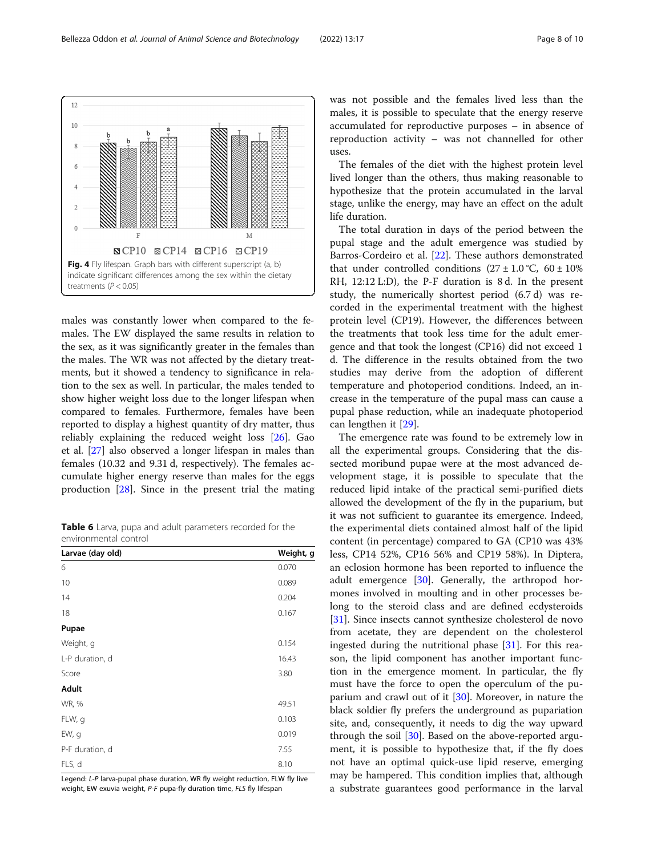<span id="page-7-0"></span>

males was constantly lower when compared to the females. The EW displayed the same results in relation to the sex, as it was significantly greater in the females than the males. The WR was not affected by the dietary treatments, but it showed a tendency to significance in relation to the sex as well. In particular, the males tended to show higher weight loss due to the longer lifespan when compared to females. Furthermore, females have been reported to display a highest quantity of dry matter, thus reliably explaining the reduced weight loss [\[26\]](#page-9-0). Gao et al. [\[27\]](#page-9-0) also observed a longer lifespan in males than females (10.32 and 9.31 d, respectively). The females accumulate higher energy reserve than males for the eggs production [\[28\]](#page-9-0). Since in the present trial the mating

**Table 6** Larva, pupa and adult parameters recorded for the environmental control

| Larvae (day old) | Weight, g |
|------------------|-----------|
| 6                | 0.070     |
| 10               | 0.089     |
| 14               | 0.204     |
| 18               | 0.167     |
| Pupae            |           |
| Weight, g        | 0.154     |
| L-P duration, d  | 16.43     |
| Score            | 3.80      |
| Adult            |           |
| WR, %            | 49.51     |
| FLW, g           | 0.103     |
| EW, g            | 0.019     |
| P-F duration, d  | 7.55      |
| FLS, d           | 8.10      |

Legend: L-P larva-pupal phase duration, WR fly weight reduction, FLW fly live weight, EW exuvia weight, P-F pupa-fly duration time, FLS fly lifespan

was not possible and the females lived less than the males, it is possible to speculate that the energy reserve accumulated for reproductive purposes – in absence of reproduction activity – was not channelled for other uses.

The females of the diet with the highest protein level lived longer than the others, thus making reasonable to hypothesize that the protein accumulated in the larval stage, unlike the energy, may have an effect on the adult life duration.

The total duration in days of the period between the pupal stage and the adult emergence was studied by Barros-Cordeiro et al. [[22](#page-9-0)]. These authors demonstrated that under controlled conditions  $(27 \pm 1.0 \degree C, 60 \pm 10\%)$ RH, 12:12 L:D), the P-F duration is 8 d. In the present study, the numerically shortest period (6.7 d) was recorded in the experimental treatment with the highest protein level (CP19). However, the differences between the treatments that took less time for the adult emergence and that took the longest (CP16) did not exceed 1 d. The difference in the results obtained from the two studies may derive from the adoption of different temperature and photoperiod conditions. Indeed, an increase in the temperature of the pupal mass can cause a pupal phase reduction, while an inadequate photoperiod can lengthen it [[29\]](#page-9-0).

The emergence rate was found to be extremely low in all the experimental groups. Considering that the dissected moribund pupae were at the most advanced development stage, it is possible to speculate that the reduced lipid intake of the practical semi-purified diets allowed the development of the fly in the puparium, but it was not sufficient to guarantee its emergence. Indeed, the experimental diets contained almost half of the lipid content (in percentage) compared to GA (CP10 was 43% less, CP14 52%, CP16 56% and CP19 58%). In Diptera, an eclosion hormone has been reported to influence the adult emergence [\[30](#page-9-0)]. Generally, the arthropod hormones involved in moulting and in other processes belong to the steroid class and are defined ecdysteroids [[31\]](#page-9-0). Since insects cannot synthesize cholesterol de novo from acetate, they are dependent on the cholesterol ingested during the nutritional phase [\[31\]](#page-9-0). For this reason, the lipid component has another important function in the emergence moment. In particular, the fly must have the force to open the operculum of the puparium and crawl out of it [\[30\]](#page-9-0). Moreover, in nature the black soldier fly prefers the underground as pupariation site, and, consequently, it needs to dig the way upward through the soil [[30\]](#page-9-0). Based on the above-reported argument, it is possible to hypothesize that, if the fly does not have an optimal quick-use lipid reserve, emerging may be hampered. This condition implies that, although a substrate guarantees good performance in the larval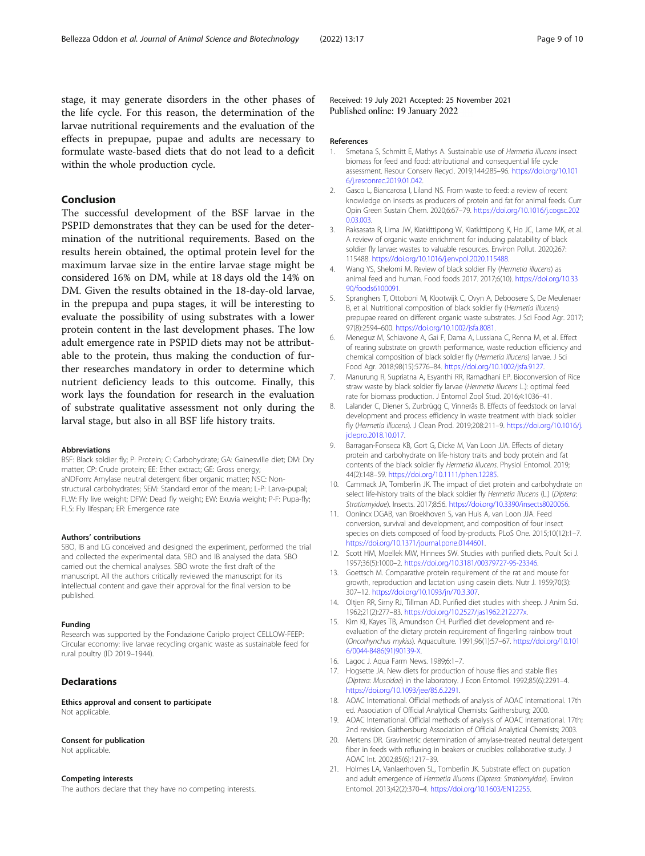<span id="page-8-0"></span>stage, it may generate disorders in the other phases of the life cycle. For this reason, the determination of the larvae nutritional requirements and the evaluation of the effects in prepupae, pupae and adults are necessary to formulate waste-based diets that do not lead to a deficit within the whole production cycle.

### Conclusion

The successful development of the BSF larvae in the PSPID demonstrates that they can be used for the determination of the nutritional requirements. Based on the results herein obtained, the optimal protein level for the maximum larvae size in the entire larvae stage might be considered 16% on DM, while at 18 days old the 14% on DM. Given the results obtained in the 18-day-old larvae, in the prepupa and pupa stages, it will be interesting to evaluate the possibility of using substrates with a lower protein content in the last development phases. The low adult emergence rate in PSPID diets may not be attributable to the protein, thus making the conduction of further researches mandatory in order to determine which nutrient deficiency leads to this outcome. Finally, this work lays the foundation for research in the evaluation of substrate qualitative assessment not only during the larval stage, but also in all BSF life history traits.

#### Abbreviations

BSF: Black soldier fly; P: Protein; C: Carbohydrate; GA: Gainesville diet; DM: Dry matter; CP: Crude protein; EE: Ether extract; GE: Gross energy; aNDFom: Amylase neutral detergent fiber organic matter; NSC: Nonstructural carbohydrates; SEM: Standard error of the mean; L-P: Larva-pupal; FLW: Fly live weight; DFW: Dead fly weight; EW: Exuvia weight; P-F: Pupa-fly; FLS: Fly lifespan; ER: Emergence rate

#### Authors' contributions

SBO, IB and LG conceived and designed the experiment, performed the trial and collected the experimental data. SBO and IB analysed the data. SBO carried out the chemical analyses. SBO wrote the first draft of the manuscript. All the authors critically reviewed the manuscript for its intellectual content and gave their approval for the final version to be published.

#### Funding

Research was supported by the Fondazione Cariplo project CELLOW-FEEP: Circular economy: live larvae recycling organic waste as sustainable feed for rural poultry (ID 2019–1944).

#### **Declarations**

Ethics approval and consent to participate Not applicable.

#### Consent for publication

Not applicable.

#### Competing interests

The authors declare that they have no competing interests.

Received: 19 July 2021 Accepted: 25 November 2021 Published online: 19 January 2022

#### References

- 1. Smetana S, Schmitt E, Mathys A. Sustainable use of Hermetia illucens insect biomass for feed and food: attributional and consequential life cycle assessment. Resour Conserv Recycl. 2019;144:285–96. [https://doi.org/10.101](https://doi.org/10.1016/j.resconrec.2019.01.042) [6/j.resconrec.2019.01.042.](https://doi.org/10.1016/j.resconrec.2019.01.042)
- 2. Gasco L, Biancarosa I, Liland NS. From waste to feed: a review of recent knowledge on insects as producers of protein and fat for animal feeds. Curr Opin Green Sustain Chem. 2020;6:67–79. [https://doi.org/10.1016/j.cogsc.202](https://doi.org/10.1016/j.cogsc.2020.03.003) [0.03.003.](https://doi.org/10.1016/j.cogsc.2020.03.003)
- 3. Raksasata R, Lima JW, Kiatkittipong W, Kiatkittipong K, Ho JC, Lame MK, et al. A review of organic waste enrichment for inducing palatability of black soldier fly larvae: wastes to valuable resources. Environ Pollut. 2020;267: 115488. <https://doi.org/10.1016/j.envpol.2020.115488>.
- 4. Wang YS, Shelomi M. Review of black soldier Fly (Hermetia illucens) as animal feed and human. Food foods 2017. 2017;6(10). [https://doi.org/10.33](https://doi.org/10.3390/foods6100091) [90/foods6100091.](https://doi.org/10.3390/foods6100091)
- 5. Spranghers T, Ottoboni M, Klootwijk C, Ovyn A, Deboosere S, De Meulenaer B, et al. Nutritional composition of black soldier fly (Hermetia illucens) prepupae reared on different organic waste substrates. J Sci Food Agr. 2017; 97(8):2594–600. [https://doi.org/10.1002/jsfa.8081.](https://doi.org/10.1002/jsfa.8081)
- 6. Meneguz M, Schiavone A, Gai F, Dama A, Lussiana C, Renna M, et al. Effect of rearing substrate on growth performance, waste reduction efficiency and chemical composition of black soldier fly (Hermetia illucens) larvae. J Sci Food Agr. 2018;98(15):5776–84. [https://doi.org/10.1002/jsfa.9127.](https://doi.org/10.1002/jsfa.9127)
- 7. Manurung R, Supriatna A, Esyanthi RR, Ramadhani EP. Bioconversion of Rice straw waste by black soldier fly larvae (Hermetia illucens L.): optimal feed rate for biomass production. J Entomol Zool Stud. 2016;4:1036–41.
- 8. Lalander C, Diener S, Zurbrügg C, Vinnerås B. Effects of feedstock on larval development and process efficiency in waste treatment with black soldier fly (Hermetia illucens). J Clean Prod. 2019;208:211–9. [https://doi.org/10.1016/j.](https://doi.org/10.1016/j.jclepro.2018.10.017) [jclepro.2018.10.017](https://doi.org/10.1016/j.jclepro.2018.10.017).
- 9. Barragan-Fonseca KB, Gort G, Dicke M, Van Loon JJA. Effects of dietary protein and carbohydrate on life-history traits and body protein and fat contents of the black soldier fly Hermetia illucens. Physiol Entomol. 2019; 44(2):148–59. <https://doi.org/10.1111/phen.12285>.
- 10. Cammack JA, Tomberlin JK. The impact of diet protein and carbohydrate on select life-history traits of the black soldier fly Hermetia illucens (L.) (Diptera: Stratiomyidae). Insects. 2017;8:56. [https://doi.org/10.3390/insects8020056.](https://doi.org/10.3390/insects8020056)
- 11. Oonincx DGAB, van Broekhoven S, van Huis A, van Loon JJA. Feed conversion, survival and development, and composition of four insect species on diets composed of food by-products. PLoS One. 2015;10(12):1–7. [https://doi.org/10.1371/journal.pone.0144601.](https://doi.org/10.1371/journal.pone.0144601)
- 12. Scott HM, Moellek MW, Hinnees SW. Studies with purified diets. Poult Sci J. 1957;36(5):1000–2. <https://doi.org/10.3181/00379727-95-23346>.
- 13. Goettsch M. Comparative protein requirement of the rat and mouse for growth, reproduction and lactation using casein diets. Nutr J. 1959;70(3): 307–12. <https://doi.org/10.1093/jn/70.3.307>.
- 14. Oltjen RR, Sirny RJ, Tillman AD. Purified diet studies with sheep. J Anim Sci. 1962;21(2):277–83. <https://doi.org/10.2527/jas1962.212277x>.
- 15. Kim KI, Kayes TB, Amundson CH. Purified diet development and reevaluation of the dietary protein requirement of fingerling rainbow trout (Oncorhynchus mykiss). Aquaculture. 1991;96(1):57–67. [https://doi.org/10.101](https://doi.org/10.1016/0044-8486(91)90139-X) [6/0044-8486\(91\)90139-X.](https://doi.org/10.1016/0044-8486(91)90139-X)
- 16. Lagoc J. Aqua Farm News. 1989;6:1–7.
- 17. Hogsette JA. New diets for production of house flies and stable flies (Diptera: Muscidae) in the laboratory. J Econ Entomol. 1992;85(6):2291–4. [https://doi.org/10.1093/jee/85.6.2291.](https://doi.org/10.1093/jee/85.6.2291)
- 18. AOAC International. Official methods of analysis of AOAC international. 17th ed. Association of Official Analytical Chemists: Gaithersburg; 2000.
- 19. AOAC International. Official methods of analysis of AOAC International. 17th; 2nd revision. Gaithersburg Association of Official Analytical Chemists; 2003.
- 20. Mertens DR. Gravimetric determination of amylase-treated neutral detergent fiber in feeds with refluxing in beakers or crucibles: collaborative study. J AOAC Int. 2002;85(6):1217–39.
- 21. Holmes LA, Vanlaerhoven SL, Tomberlin JK. Substrate effect on pupation and adult emergence of Hermetia illucens (Diptera: Stratiomyidae). Environ Entomol. 2013;42(2):370–4. [https://doi.org/10.1603/EN12255.](https://doi.org/10.1603/EN12255)